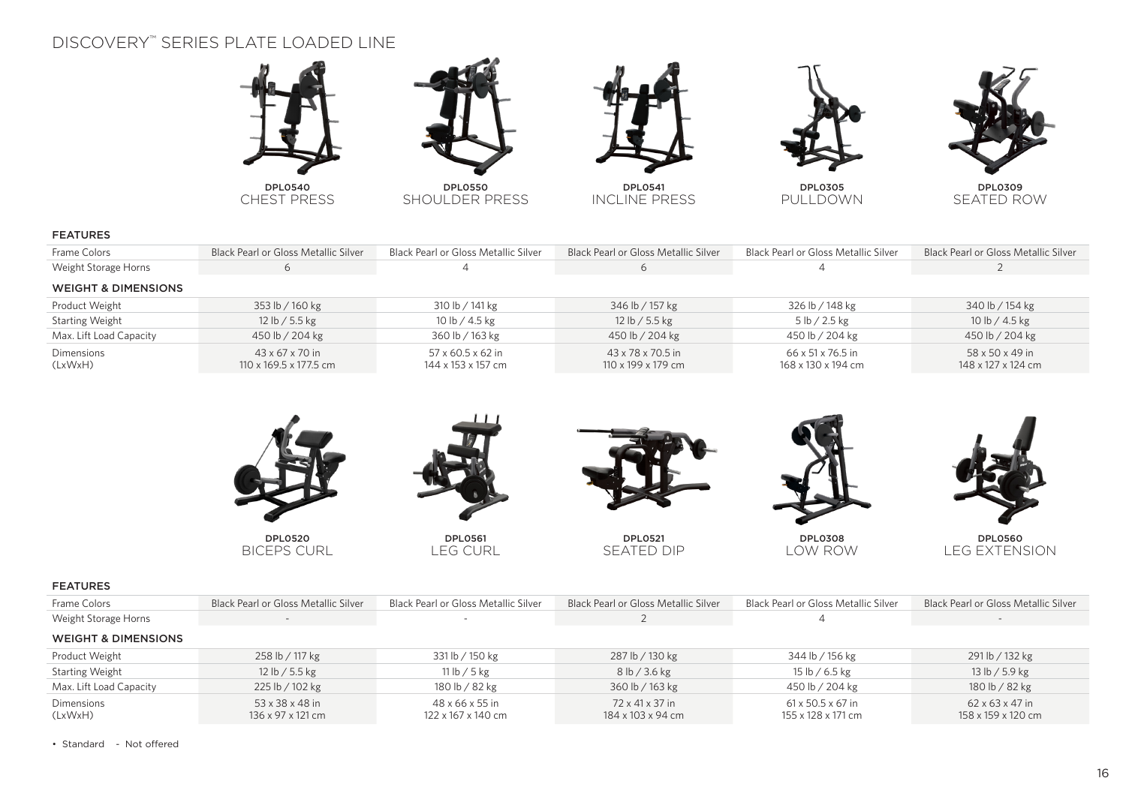# DISCOVERY™ SERIES PLATE LOADED LINE



DPL0540 CHEST PRESS



DPL0550 SHOULDER PRESS



DPL0541 INCLINE PRESS



DPL0305 PULLDOWN



DPL0309 SEATED ROW

#### FEATURES

| Frame Colors                   | Black Pearl or Gloss Metallic Silver                  | Black Pearl or Gloss Metallic Silver    | <b>Black Pearl or Gloss Metallic Silver</b>         | Black Pearl or Gloss Metallic Silver    | Black Pearl or Gloss Metallic Silver  |
|--------------------------------|-------------------------------------------------------|-----------------------------------------|-----------------------------------------------------|-----------------------------------------|---------------------------------------|
| Weight Storage Horns           | $\circ$                                               |                                         |                                                     | 4                                       |                                       |
| <b>WEIGHT &amp; DIMENSIONS</b> |                                                       |                                         |                                                     |                                         |                                       |
| Product Weight                 | 353 lb / 160 kg                                       | 310 lb / 141 kg                         | 346 lb / 157 kg                                     | 326 lb / 148 kg                         | 340 lb / 154 kg                       |
| <b>Starting Weight</b>         | 12 lb / 5.5 kg                                        | 10 lb / 4.5 kg                          | 12 lb / 5.5 kg                                      | 5 lb / 2.5 kg                           | 10 lb / 4.5 kg                        |
| Max. Lift Load Capacity        | 450 lb / 204 kg                                       | 360 lb / 163 kg                         | 450 lb / 204 kg                                     | 450 lb / 204 kg                         | 450 lb / 204 kg                       |
| Dimensions<br>(LxWxH)          | $43 \times 67 \times 70$ in<br>110 x 169.5 x 177.5 cm | 57 x 60.5 x 62 in<br>144 x 153 x 157 cm | $43 \times 78 \times 70.5$ in<br>110 x 199 x 179 cm | 66 x 51 x 76.5 in<br>168 x 130 x 194 cm | 58 x 50 x 49 in<br>148 x 127 x 124 cm |



### FEATURES

| Frame Colors                   | Black Pearl or Gloss Metallic Silver | Black Pearl or Gloss Metallic Silver  | Black Pearl or Gloss Metallic Silver | Black Pearl or Gloss Metallic Silver                | Black Pearl or Gloss Metallic Silver              |
|--------------------------------|--------------------------------------|---------------------------------------|--------------------------------------|-----------------------------------------------------|---------------------------------------------------|
| Weight Storage Horns           | $\overline{\phantom{a}}$             |                                       |                                      |                                                     | $\sim$                                            |
| <b>WEIGHT &amp; DIMENSIONS</b> |                                      |                                       |                                      |                                                     |                                                   |
| <b>Product Weight</b>          | 258 lb / 117 kg                      | 331 lb / 150 kg                       | 287 lb / 130 kg                      | 344 lb / 156 kg                                     | 291 lb / 132 kg                                   |
| <b>Starting Weight</b>         | 12 lb / 5.5 kg                       | 11 lb / 5 kg                          | 8 lb / 3.6 kg                        | 15 lb / 6.5 kg                                      | 13 lb / 5.9 kg                                    |
| Max. Lift Load Capacity        | 225 lb / 102 kg                      | 180 lb / 82 kg                        | 360 lb / 163 kg                      | 450 lb / 204 kg                                     | 180 lb / 82 kg                                    |
| Dimensions<br>(LxWxH)          | 53 x 38 x 48 in<br>136 x 97 x 121 cm | 48 x 66 x 55 in<br>122 x 167 x 140 cm | 72 x 41 x 37 in<br>184 x 103 x 94 cm | $61 \times 50.5 \times 67$ in<br>155 x 128 x 171 cm | $62 \times 63 \times 47$ in<br>158 x 159 x 120 cm |

• Standard - Not offered